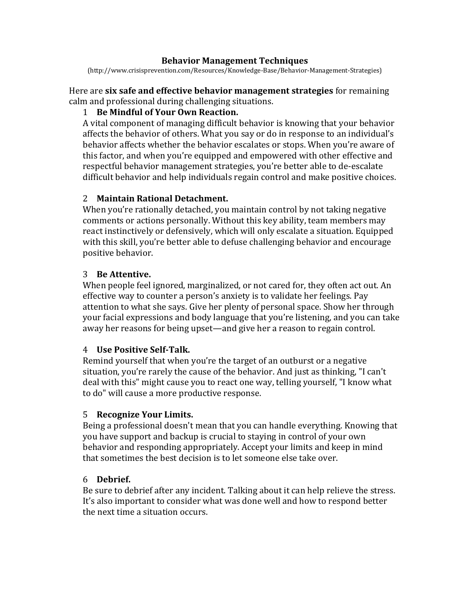### **Behavior Management Techniques**

(http://www.crisisprevention.com/Resources/Knowledge-Base/Behavior-Management-Strategies)

Here are **six safe and effective behavior management strategies** for remaining calm and professional during challenging situations.

## 1 **Be Mindful of Your Own Reaction.**

A vital component of managing difficult behavior is knowing that your behavior affects the behavior of others. What you say or do in response to an individual's behavior affects whether the behavior escalates or stops. When you're aware of this factor, and when you're equipped and empowered with other effective and respectful behavior management strategies, you're better able to de-escalate difficult behavior and help individuals regain control and make positive choices.

# 2 **Maintain Rational Detachment.**

When you're rationally detached, you maintain control by not taking negative comments or actions personally. Without this key ability, team members may react instinctively or defensively, which will only escalate a situation. Equipped with this skill, you're better able to defuse challenging behavior and encourage positive behavior.

# 3 **Be Attentive.**

When people feel ignored, marginalized, or not cared for, they often act out. An effective way to counter a person's anxiety is to validate her feelings. Pay attention to what she says. Give her plenty of personal space. Show her through your facial expressions and body language that you're listening, and you can take away her reasons for being upset—and give her a reason to regain control.

## 4 **Use Positive Self-Talk.**

Remind yourself that when you're the target of an outburst or a negative situation, you're rarely the cause of the behavior. And just as thinking, "I can't deal with this" might cause you to react one way, telling yourself, "I know what to do" will cause a more productive response.

## 5 **Recognize Your Limits.**

Being a professional doesn't mean that you can handle everything. Knowing that you have support and backup is crucial to staying in control of your own behavior and responding appropriately. Accept your limits and keep in mind that sometimes the best decision is to let someone else take over.

## 6 **Debrief.**

Be sure to debrief after any incident. Talking about it can help relieve the stress. It's also important to consider what was done well and how to respond better the next time a situation occurs.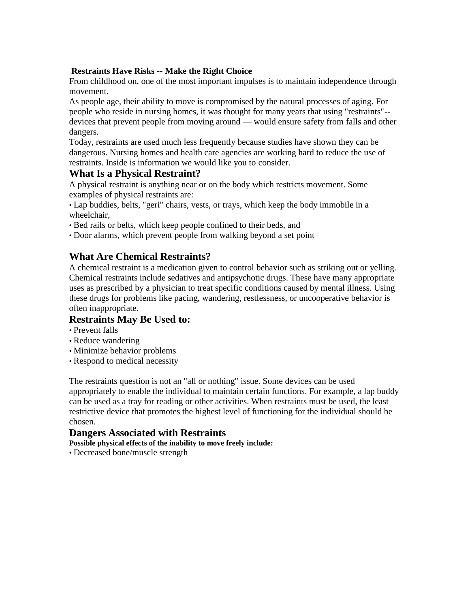#### **Restraints Have Risks -- Make the Right Choice**

From childhood on, one of the most important impulses is to maintain independence through movement.

As people age, their ability to move is compromised by the natural processes of aging. For people who reside in nursing homes, it was thought for many years that using "restraints"- devices that prevent people from moving around — would ensure safety from falls and other dangers.

Today, restraints are used much less frequently because studies have shown they can be dangerous. Nursing homes and health care agencies are working hard to reduce the use of restraints. Inside is information we would like you to consider.

## **What Is a Physical Restraint?**

A physical restraint is anything near or on the body which restricts movement. Some examples of physical restraints are:

• Lap buddies, belts, "geri" chairs, vests, or trays, which keep the body immobile in a wheelchair,

• Bed rails or belts, which keep people confined to their beds, and

• Door alarms, which prevent people from walking beyond a set point

# **What Are Chemical Restraints?**

A chemical restraint is a medication given to control behavior such as striking out or yelling. Chemical restraints include sedatives and antipsychotic drugs. These have many appropriate uses as prescribed by a physician to treat specific conditions caused by mental illness. Using these drugs for problems like pacing, wandering, restlessness, or uncooperative behavior is often inappropriate.

# **Restraints May Be Used to:**

- Prevent falls
- Reduce wandering
- Minimize behavior problems
- Respond to medical necessity

The restraints question is not an "all or nothing" issue. Some devices can be used appropriately to enable the individual to maintain certain functions. For example, a lap buddy can be used as a tray for reading or other activities. When restraints must be used, the least restrictive device that promotes the highest level of functioning for the individual should be chosen.

### **Dangers Associated with Restraints**

**Possible physical effects of the inability to move freely include:** 

• Decreased bone/muscle strength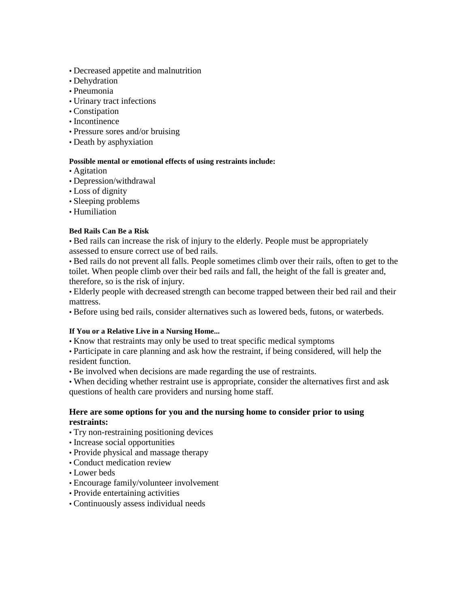- Decreased appetite and malnutrition
- Dehydration
- Pneumonia
- Urinary tract infections
- Constipation
- Incontinence
- Pressure sores and/or bruising
- Death by asphyxiation

#### **Possible mental or emotional effects of using restraints include:**

- Agitation
- Depression/withdrawal
- Loss of dignity
- Sleeping problems
- Humiliation

#### **Bed Rails Can Be a Risk**

• Bed rails can increase the risk of injury to the elderly. People must be appropriately assessed to ensure correct use of bed rails.

• Bed rails do not prevent all falls. People sometimes climb over their rails, often to get to the toilet. When people climb over their bed rails and fall, the height of the fall is greater and, therefore, so is the risk of injury.

• Elderly people with decreased strength can become trapped between their bed rail and their mattress.

• Before using bed rails, consider alternatives such as lowered beds, futons, or waterbeds.

#### **If You or a Relative Live in a Nursing Home...**

• Know that restraints may only be used to treat specific medical symptoms

• Participate in care planning and ask how the restraint, if being considered, will help the resident function.

• Be involved when decisions are made regarding the use of restraints.

• When deciding whether restraint use is appropriate, consider the alternatives first and ask questions of health care providers and nursing home staff.

#### **Here are some options for you and the nursing home to consider prior to using restraints:**

- Try non-restraining positioning devices
- Increase social opportunities
- Provide physical and massage therapy
- Conduct medication review
- Lower beds
- Encourage family/volunteer involvement
- Provide entertaining activities
- Continuously assess individual needs